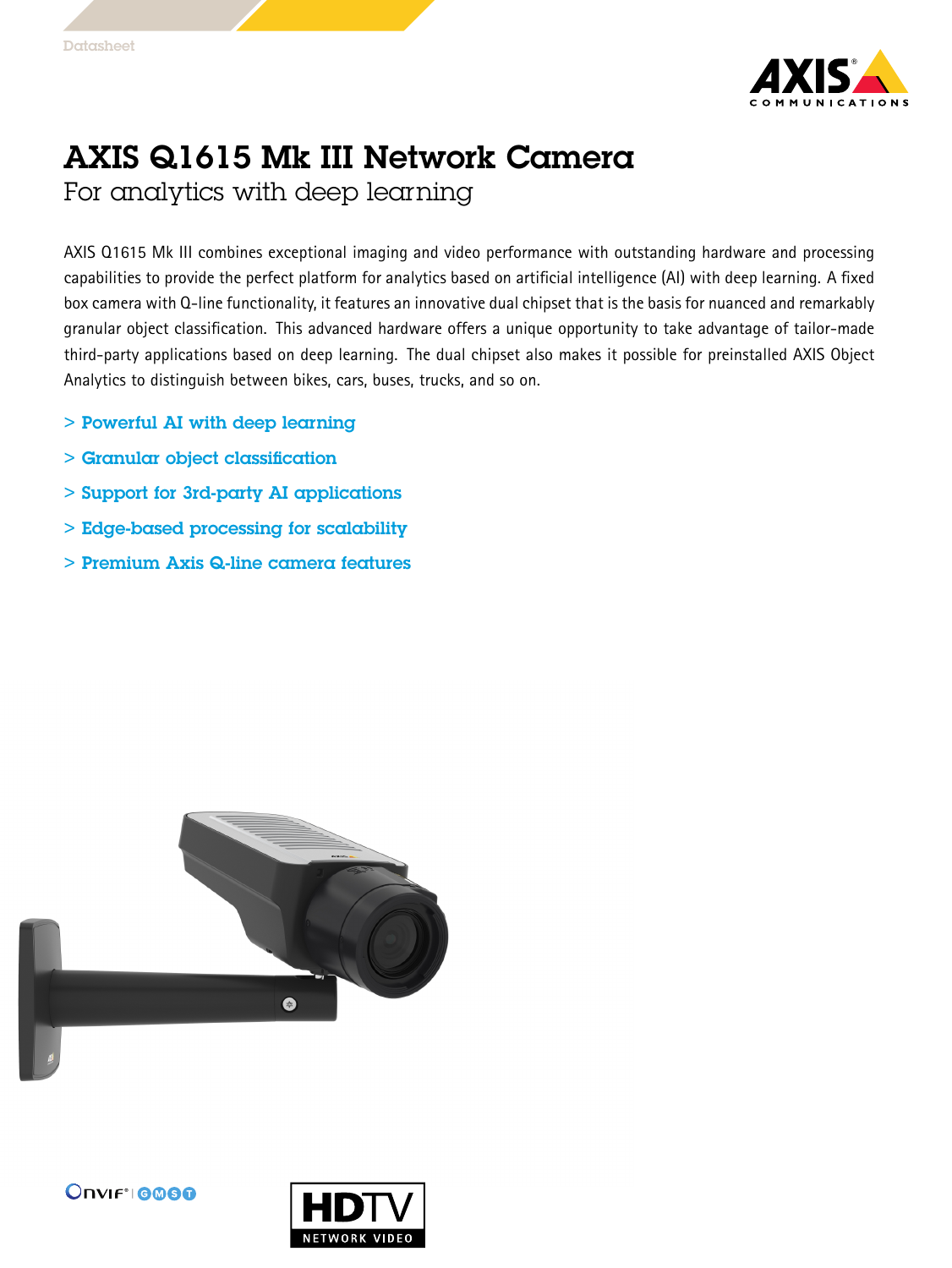

## AXIS Q1615 Mk III Network Camera

For analytics with deep learning

AXIS Q1615 Mk III combines exceptional imaging and video performance with outstanding hardware and processing capabilities to provide the perfect platform for analytics based on artificial intelligence (AI) with deep learning. A fixed box camera with Q-line functionality, it features an innovative dual chipset that is the basis for nuanced and remarkably granular object classification. This advanced hardware offers <sup>a</sup> unique opportunity to take advantage of tailor-made third-party applications based on deep learning. The dual chipset also makes it possible for preinstalled AXIS Object Analytics to distinguish between bikes, cars, buses, trucks, and so on.

- > Powerful AI with deep learning
- > Granular object classification
- > Support for 3rd-party AI applications
- > Edge-based processing for scalability
- > Premium Axis Q-line camera features





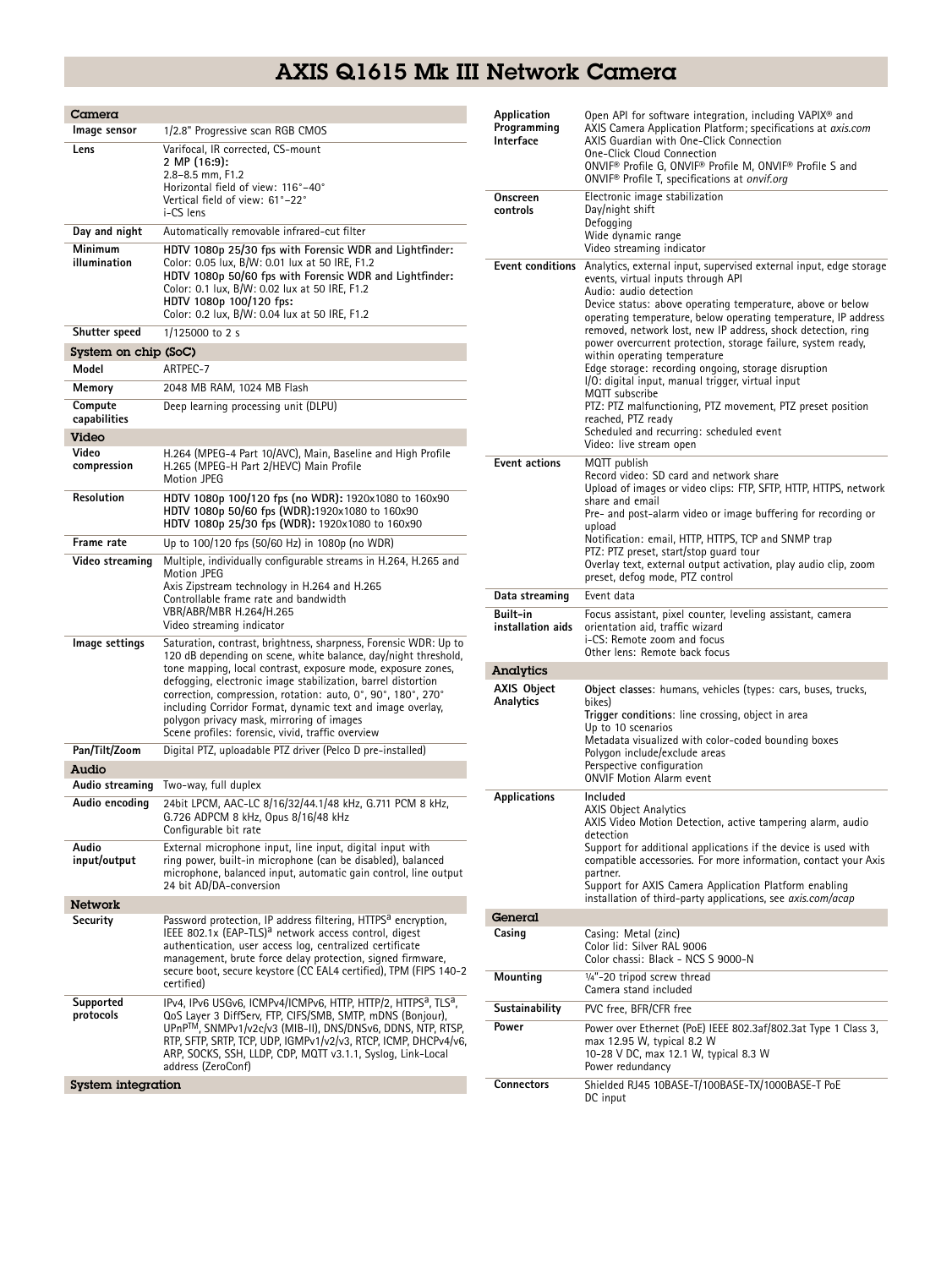## AXIS Q1615 Mk III Network Camera

| $C$ amera               |                                                                                                                                                                                                                                                                                                                                                                                                                                                                                                                                                                                         | Application                     | Open API for software integration, including VAPIX <sup>®</sup> and                                                                                                                                                                                                                                                                                                                                                              |  |
|-------------------------|-----------------------------------------------------------------------------------------------------------------------------------------------------------------------------------------------------------------------------------------------------------------------------------------------------------------------------------------------------------------------------------------------------------------------------------------------------------------------------------------------------------------------------------------------------------------------------------------|---------------------------------|----------------------------------------------------------------------------------------------------------------------------------------------------------------------------------------------------------------------------------------------------------------------------------------------------------------------------------------------------------------------------------------------------------------------------------|--|
| Image sensor            | 1/2.8" Progressive scan RGB CMOS                                                                                                                                                                                                                                                                                                                                                                                                                                                                                                                                                        | Programming<br>Interface        | AXIS Camera Application Platform; specifications at axis.com<br>AXIS Guardian with One-Click Connection<br>One-Click Cloud Connection<br>ONVIF® Profile G, ONVIF® Profile M, ONVIF® Profile S and<br>ONVIF <sup>®</sup> Profile T, specifications at onvif.org<br>Electronic image stabilization                                                                                                                                 |  |
| Lens                    | Varifocal, IR corrected, CS-mount<br>2 MP (16:9):<br>2.8-8.5 mm, F1.2<br>Horizontal field of view: 116°-40°<br>Vertical field of view: 61°-22°                                                                                                                                                                                                                                                                                                                                                                                                                                          | Onscreen                        |                                                                                                                                                                                                                                                                                                                                                                                                                                  |  |
|                         | i-CS lens                                                                                                                                                                                                                                                                                                                                                                                                                                                                                                                                                                               | controls                        | Day/night shift                                                                                                                                                                                                                                                                                                                                                                                                                  |  |
| Day and night           | Automatically removable infrared-cut filter                                                                                                                                                                                                                                                                                                                                                                                                                                                                                                                                             |                                 | Defogging<br>Wide dynamic range                                                                                                                                                                                                                                                                                                                                                                                                  |  |
| Minimum                 | HDTV 1080p 25/30 fps with Forensic WDR and Lightfinder:                                                                                                                                                                                                                                                                                                                                                                                                                                                                                                                                 |                                 | Video streaming indicator                                                                                                                                                                                                                                                                                                                                                                                                        |  |
| illumination            | Color: 0.05 lux, B/W: 0.01 lux at 50 IRE, F1.2<br>HDTV 1080p 50/60 fps with Forensic WDR and Lightfinder:<br>Color: 0.1 lux, B/W: 0.02 lux at 50 IRE, F1.2<br>HDTV 1080p 100/120 fps:<br>Color: 0.2 lux, B/W: 0.04 lux at 50 IRE, F1.2                                                                                                                                                                                                                                                                                                                                                  |                                 | <b>Event conditions</b> Analytics, external input, supervised external input, edge storage<br>events, virtual inputs through API<br>Audio: audio detection<br>Device status: above operating temperature, above or below<br>operating temperature, below operating temperature, IP address                                                                                                                                       |  |
| Shutter speed           | $1/125000$ to 2 s                                                                                                                                                                                                                                                                                                                                                                                                                                                                                                                                                                       |                                 | removed, network lost, new IP address, shock detection, ring<br>power overcurrent protection, storage failure, system ready,                                                                                                                                                                                                                                                                                                     |  |
| System on chip (SoC)    |                                                                                                                                                                                                                                                                                                                                                                                                                                                                                                                                                                                         |                                 | within operating temperature                                                                                                                                                                                                                                                                                                                                                                                                     |  |
| Model                   | ARTPEC-7                                                                                                                                                                                                                                                                                                                                                                                                                                                                                                                                                                                |                                 | Edge storage: recording ongoing, storage disruption<br>I/O: digital input, manual trigger, virtual input                                                                                                                                                                                                                                                                                                                         |  |
| Memory                  | 2048 MB RAM, 1024 MB Flash                                                                                                                                                                                                                                                                                                                                                                                                                                                                                                                                                              |                                 | MQTT subscribe                                                                                                                                                                                                                                                                                                                                                                                                                   |  |
| Compute<br>capabilities | Deep learning processing unit (DLPU)                                                                                                                                                                                                                                                                                                                                                                                                                                                                                                                                                    |                                 | PTZ: PTZ malfunctioning, PTZ movement, PTZ preset position<br>reached, PTZ ready<br>Scheduled and recurring: scheduled event                                                                                                                                                                                                                                                                                                     |  |
| Video                   |                                                                                                                                                                                                                                                                                                                                                                                                                                                                                                                                                                                         |                                 | Video: live stream open                                                                                                                                                                                                                                                                                                                                                                                                          |  |
| Video<br>compression    | H.264 (MPEG-4 Part 10/AVC), Main, Baseline and High Profile<br>H.265 (MPEG-H Part 2/HEVC) Main Profile<br>Motion JPEG                                                                                                                                                                                                                                                                                                                                                                                                                                                                   | <b>Event actions</b>            | MQTT publish<br>Record video: SD card and network share<br>Upload of images or video clips: FTP, SFTP, HTTP, HTTPS, network<br>share and email<br>Pre- and post-alarm video or image buffering for recording or<br>upload<br>Notification: email, HTTP, HTTPS, TCP and SNMP trap<br>PTZ: PTZ preset, start/stop guard tour<br>Overlay text, external output activation, play audio clip, zoom<br>preset, defog mode, PTZ control |  |
| Resolution              | HDTV 1080p 100/120 fps (no WDR): 1920x1080 to 160x90<br>HDTV 1080p 50/60 fps (WDR):1920x1080 to 160x90<br>HDTV 1080p 25/30 fps (WDR): 1920x1080 to 160x90                                                                                                                                                                                                                                                                                                                                                                                                                               |                                 |                                                                                                                                                                                                                                                                                                                                                                                                                                  |  |
| Frame rate              | Up to 100/120 fps (50/60 Hz) in 1080p (no WDR)                                                                                                                                                                                                                                                                                                                                                                                                                                                                                                                                          |                                 |                                                                                                                                                                                                                                                                                                                                                                                                                                  |  |
| Video streaming         | Multiple, individually configurable streams in H.264, H.265 and<br>Motion JPEG<br>Axis Zipstream technology in H.264 and H.265                                                                                                                                                                                                                                                                                                                                                                                                                                                          |                                 |                                                                                                                                                                                                                                                                                                                                                                                                                                  |  |
|                         | Controllable frame rate and bandwidth                                                                                                                                                                                                                                                                                                                                                                                                                                                                                                                                                   | Data streaming                  | Event data                                                                                                                                                                                                                                                                                                                                                                                                                       |  |
|                         | VBR/ABR/MBR H.264/H.265<br>Video streaming indicator                                                                                                                                                                                                                                                                                                                                                                                                                                                                                                                                    | Built-in<br>installation aids   | Focus assistant, pixel counter, leveling assistant, camera<br>orientation aid, traffic wizard<br>i-CS: Remote zoom and focus                                                                                                                                                                                                                                                                                                     |  |
| Image settings          | Saturation, contrast, brightness, sharpness, Forensic WDR: Up to<br>120 dB depending on scene, white balance, day/night threshold,<br>tone mapping, local contrast, exposure mode, exposure zones,                                                                                                                                                                                                                                                                                                                                                                                      |                                 | Other lens: Remote back focus                                                                                                                                                                                                                                                                                                                                                                                                    |  |
|                         |                                                                                                                                                                                                                                                                                                                                                                                                                                                                                                                                                                                         | Analytics                       |                                                                                                                                                                                                                                                                                                                                                                                                                                  |  |
|                         | defogging, electronic image stabilization, barrel distortion<br>correction, compression, rotation: auto, 0°, 90°, 180°, 270°<br>including Corridor Format, dynamic text and image overlay,<br>polygon privacy mask, mirroring of images<br>Scene profiles: forensic, vivid, traffic overview                                                                                                                                                                                                                                                                                            | <b>AXIS Object</b><br>Analytics | Object classes: humans, vehicles (types: cars, buses, trucks,<br>bikes)<br>Trigger conditions: line crossing, object in area<br>Up to 10 scenarios<br>Metadata visualized with color-coded bounding boxes                                                                                                                                                                                                                        |  |
| Pan/Tilt/Zoom           | Digital PTZ, uploadable PTZ driver (Pelco D pre-installed)                                                                                                                                                                                                                                                                                                                                                                                                                                                                                                                              | Polygon include/exclude areas   |                                                                                                                                                                                                                                                                                                                                                                                                                                  |  |
| Audio                   |                                                                                                                                                                                                                                                                                                                                                                                                                                                                                                                                                                                         |                                 | Perspective configuration<br><b>ONVIF Motion Alarm event</b>                                                                                                                                                                                                                                                                                                                                                                     |  |
| Audio streaming         | Two-way, full duplex                                                                                                                                                                                                                                                                                                                                                                                                                                                                                                                                                                    |                                 | Included                                                                                                                                                                                                                                                                                                                                                                                                                         |  |
| Audio encoding          | 24bit LPCM, AAC-LC 8/16/32/44.1/48 kHz, G.711 PCM 8 kHz,<br>G.726 ADPCM 8 kHz, Opus 8/16/48 kHz<br>Configurable bit rate                                                                                                                                                                                                                                                                                                                                                                                                                                                                | Applications                    | <b>AXIS Object Analytics</b><br>AXIS Video Motion Detection, active tampering alarm, audio<br>detection<br>Support for additional applications if the device is used with<br>compatible accessories. For more information, contact your Axis<br>partner.<br>Support for AXIS Camera Application Platform enabling                                                                                                                |  |
| Audio<br>input/output   | External microphone input, line input, digital input with<br>ring power, built-in microphone (can be disabled), balanced<br>microphone, balanced input, automatic gain control, line output<br>24 bit AD/DA-conversion                                                                                                                                                                                                                                                                                                                                                                  |                                 |                                                                                                                                                                                                                                                                                                                                                                                                                                  |  |
| <b>Network</b>          |                                                                                                                                                                                                                                                                                                                                                                                                                                                                                                                                                                                         |                                 | installation of third-party applications, see <i>axis.com/acap</i>                                                                                                                                                                                                                                                                                                                                                               |  |
| Security                | Password protection, IP address filtering, HTTPS <sup>a</sup> encryption,<br>IEEE 802.1x (EAP-TLS) <sup>a</sup> network access control, digest                                                                                                                                                                                                                                                                                                                                                                                                                                          | General<br>Casing               | Casing: Metal (zinc)                                                                                                                                                                                                                                                                                                                                                                                                             |  |
|                         | authentication, user access log, centralized certificate<br>management, brute force delay protection, signed firmware,<br>secure boot, secure keystore (CC EAL4 certified), TPM (FIPS 140-2<br>certified)<br>IPv4, IPv6 USGv6, ICMPv4/ICMPv6, HTTP, HTTP/2, HTTPS <sup>a</sup> , TLS <sup>a</sup> ,<br>QoS Layer 3 DiffServ, FTP, CIFS/SMB, SMTP, mDNS (Bonjour),<br>UPnP™, SNMPv1/v2c/v3 (MIB-II), DNS/DNSv6, DDNS, NTP, RTSP,<br>RTP, SFTP, SRTP, TCP, UDP, IGMPv1/v2/v3, RTCP, ICMP, DHCPv4/v6,<br>ARP, SOCKS, SSH, LLDP, CDP, MQTT v3.1.1, Syslog, Link-Local<br>address (ZeroConf) |                                 | Color lid: Silver RAL 9006<br>Color chassi: Black - NCS S 9000-N                                                                                                                                                                                                                                                                                                                                                                 |  |
|                         |                                                                                                                                                                                                                                                                                                                                                                                                                                                                                                                                                                                         | Mounting                        | 1/4"-20 tripod screw thread<br>Camera stand included                                                                                                                                                                                                                                                                                                                                                                             |  |
| Supported<br>protocols  |                                                                                                                                                                                                                                                                                                                                                                                                                                                                                                                                                                                         | Sustainability                  | PVC free, BFR/CFR free                                                                                                                                                                                                                                                                                                                                                                                                           |  |
|                         |                                                                                                                                                                                                                                                                                                                                                                                                                                                                                                                                                                                         | Power                           | Power over Ethernet (PoE) IEEE 802.3af/802.3at Type 1 Class 3,<br>max 12.95 W, typical 8.2 W<br>10-28 V DC, max 12.1 W, typical 8.3 W<br>Power redundancy                                                                                                                                                                                                                                                                        |  |
| System integration      |                                                                                                                                                                                                                                                                                                                                                                                                                                                                                                                                                                                         | <b>Connectors</b>               | Shielded RJ45 10BASE-T/100BASE-TX/1000BASE-T PoE                                                                                                                                                                                                                                                                                                                                                                                 |  |